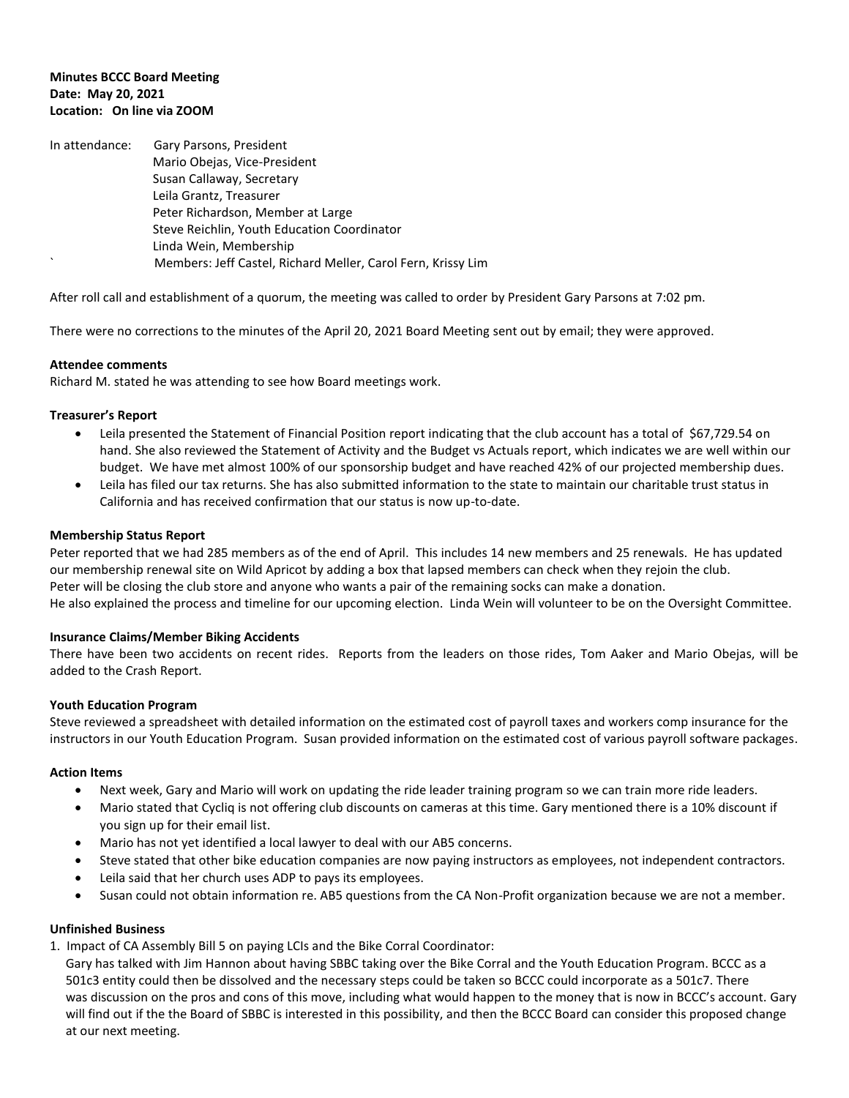# **Minutes BCCC Board Meeting Date: May 20, 2021 Location: On line via ZOOM**

| In attendance: | Gary Parsons, President                                      |
|----------------|--------------------------------------------------------------|
|                | Mario Obejas, Vice-President                                 |
|                | Susan Callaway, Secretary                                    |
|                | Leila Grantz, Treasurer                                      |
|                | Peter Richardson, Member at Large                            |
|                | Steve Reichlin, Youth Education Coordinator                  |
|                | Linda Wein, Membership                                       |
| $\cdot$        | Members: Jeff Castel, Richard Meller, Carol Fern, Krissy Lim |

After roll call and establishment of a quorum, the meeting was called to order by President Gary Parsons at 7:02 pm.

There were no corrections to the minutes of the April 20, 2021 Board Meeting sent out by email; they were approved.

# **Attendee comments**

Richard M. stated he was attending to see how Board meetings work.

# **Treasurer's Report**

- Leila presented the Statement of Financial Position report indicating that the club account has a total of \$67,729.54 on hand. She also reviewed the Statement of Activity and the Budget vs Actuals report, which indicates we are well within our budget. We have met almost 100% of our sponsorship budget and have reached 42% of our projected membership dues.
- Leila has filed our tax returns. She has also submitted information to the state to maintain our charitable trust status in California and has received confirmation that our status is now up-to-date.

# **Membership Status Report**

Peter reported that we had 285 members as of the end of April. This includes 14 new members and 25 renewals. He has updated our membership renewal site on Wild Apricot by adding a box that lapsed members can check when they rejoin the club. Peter will be closing the club store and anyone who wants a pair of the remaining socks can make a donation. He also explained the process and timeline for our upcoming election. Linda Wein will volunteer to be on the Oversight Committee.

### **Insurance Claims/Member Biking Accidents**

There have been two accidents on recent rides. Reports from the leaders on those rides, Tom Aaker and Mario Obejas, will be added to the Crash Report.

### **Youth Education Program**

Steve reviewed a spreadsheet with detailed information on the estimated cost of payroll taxes and workers comp insurance for the instructors in our Youth Education Program. Susan provided information on the estimated cost of various payroll software packages.

### **Action Items**

- Next week, Gary and Mario will work on updating the ride leader training program so we can train more ride leaders.
- Mario stated that Cycliq is not offering club discounts on cameras at this time. Gary mentioned there is a 10% discount if you sign up for their email list.
- Mario has not yet identified a local lawyer to deal with our AB5 concerns.
- Steve stated that other bike education companies are now paying instructors as employees, not independent contractors.
- Leila said that her church uses ADP to pays its employees.
- Susan could not obtain information re. AB5 questions from the CA Non-Profit organization because we are not a member.

### **Unfinished Business**

1. Impact of CA Assembly Bill 5 on paying LCIs and the Bike Corral Coordinator:

 Gary has talked with Jim Hannon about having SBBC taking over the Bike Corral and the Youth Education Program. BCCC as a 501c3 entity could then be dissolved and the necessary steps could be taken so BCCC could incorporate as a 501c7. There was discussion on the pros and cons of this move, including what would happen to the money that is now in BCCC's account. Gary will find out if the the Board of SBBC is interested in this possibility, and then the BCCC Board can consider this proposed change at our next meeting.